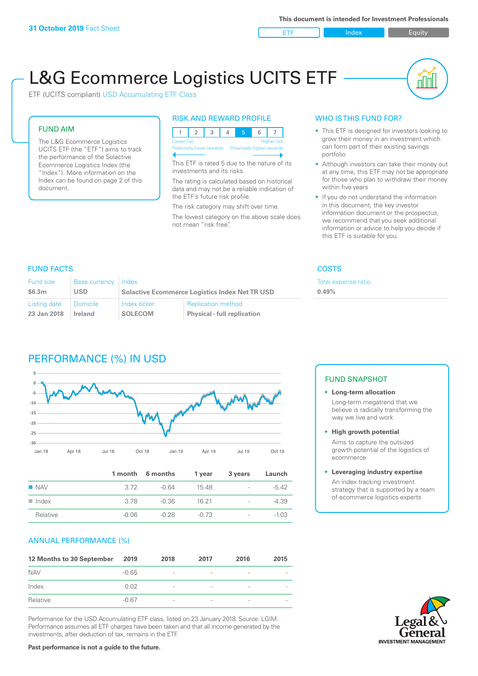ETF Index Builty

nN

# L&G Ecommerce Logistics UCITS ETF

ETF (UCITS compliant) USD Accumulating ETF Class

#### FUND AIM

The L&G Ecommerce Logistics UCITS ETF (the "ETF") aims to track the performance of the Solactive Ecommerce Logistics Index (the "Index"). More information on the Index can be found on page 2 of this document.

#### RISK AND REWARD PROFILE



This ETF is rated 5 due to the nature of its investments and its risks.

The rating is calculated based on historical data and may not be a reliable indication of the ETF's future risk profile.

The risk category may shift over time. The lowest category on the above scale does not mean "risk free".

#### WHO IS THIS FUND FOR?

- This ETF is designed for investors looking to grow their money in an investment which can form part of their existing savings portfolio
- Although investors can take their money out at any time, this ETF may not be appropriate for those who plan to withdraw their money within five years
- If you do not understand the information in this document, the key investor information document or the prospectus, we recommend that you seek additional information or advice to help you decide if this ETF is suitable for you.

**0.49%**

Total expense ratio

#### FUND FACTS COSTS

| Fund size    | Base currency Index |                                                       |                                    |  |
|--------------|---------------------|-------------------------------------------------------|------------------------------------|--|
| \$6.3m       | USD                 | <b>Solactive Ecommerce Logistics Index Net TR USD</b> |                                    |  |
| Listing date | l Domicile          | Index ticker                                          | <b>Replication method</b>          |  |
| 23 Jan 2018  | Ireland             | <b>SOLECOM</b>                                        | <b>Physical - full replication</b> |  |

## PERFORMANCE (%) IN USD



|                      |         | 1 month 6 months | 1 year  | 3 years                  | Launch  |
|----------------------|---------|------------------|---------|--------------------------|---------|
| $\blacksquare$ NAV   | 3.72    | -0.64            | 1548    | $\overline{\phantom{a}}$ | $-5.42$ |
| $\blacksquare$ Index | 3.78    | -0.36            | 16 21   | $\overline{\phantom{a}}$ | $-4.39$ |
| Relative             | $-0.06$ | $-0.28$          | $-0.73$ | $\overline{\phantom{a}}$ | $-1.03$ |

#### ANNUAL PERFORMANCE (%)

| 12 Months to 30 September | 2019    | 2018                     | 2017                     | 2016                     | 2015                     |
|---------------------------|---------|--------------------------|--------------------------|--------------------------|--------------------------|
| <b>NAV</b>                | $-0.65$ | $\overline{\phantom{a}}$ |                          | $\overline{\phantom{a}}$ |                          |
| Index                     | 0.02    | $\overline{\phantom{a}}$ | $\overline{\phantom{a}}$ | $\overline{\phantom{a}}$ |                          |
| Relative                  | $-0.67$ | $\qquad \qquad$          | $\overline{\phantom{a}}$ | $\overline{\phantom{a}}$ | $\overline{\phantom{a}}$ |

Performance for the USD Accumulating ETF class, listed on 23 January 2018. Source: LGIM. Performance assumes all ETF charges have been taken and that all income generated by the investments, after deduction of tax, remains in the ETF.

#### FUND SNAPSHOT

- **• Long-term allocation** Long-term megatrend that we believe is radically transforming the way we live and work
- **• High growth potential**

Aims to capture the outsized growth potential of the logistics of ecommerce

#### **• Leveraging industry expertise**

An index tracking investment strategy that is supported by a team of ecommerce logistics experts

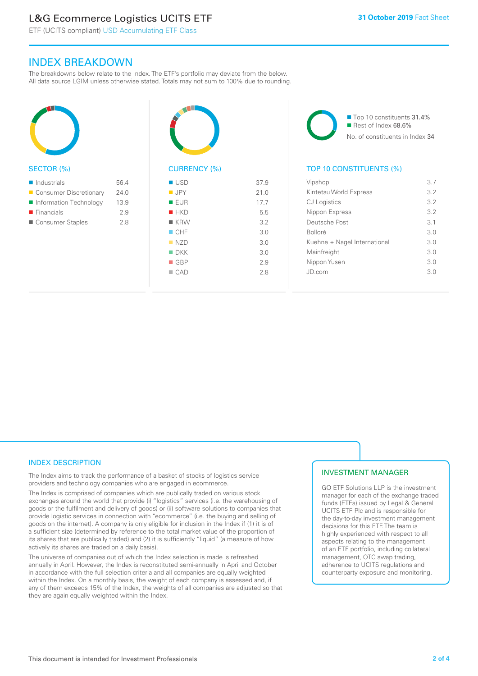# L&G Ecommerce Logistics UCITS ETF

ETF (UCITS compliant) USD Accumulating ETF Class

### INDEX BREAKDOWN

The breakdowns below relate to the Index. The ETF's portfolio may deviate from the below. All data source LGIM unless otherwise stated. Totals may not sum to 100% due to rounding.



#### SECTOR (%)

| $\blacksquare$ Industrials | 56.4 |
|----------------------------|------|
| ■ Consumer Discretionary   | 24.0 |
| Information Technology     | 13.9 |
| $\blacksquare$ Financials  | 2.9  |
| Consumer Staples           | 28   |



# CURRENCY (%)

| ■ USD              | 37.9 |
|--------------------|------|
| <b>JPY</b>         | 21.0 |
| <b>EUR</b>         | 17.7 |
| HKD                | 5.5  |
| $R$ KRW            | 3.2  |
| CHF                | 3.0  |
| NZD                | 3.0  |
| $\blacksquare$ DKK | 3.0  |
| $\blacksquare$ GBP | 2.9  |
| $\Box$ CAD         | 2.8  |
|                    |      |

■ Top 10 constituents 31.4% Rest of Index 68.6% No. of constituents in Index 34

#### TOP 10 CONSTITUENTS (%)

| Vipshop                      | 3.7 |
|------------------------------|-----|
| Kintetsu World Express       | 32  |
| CJ Logistics                 | 32  |
| Nippon Express               | 3.2 |
| Deutsche Post                | 3.1 |
| <b>Bolloré</b>               | 3 O |
| Kuehne + Nagel International | 3 O |
| Mainfreight                  | 3.0 |
| Nippon Yusen                 | 3.0 |
| JD.com                       | 30  |
|                              |     |

#### INDEX DESCRIPTION

The Index aims to track the performance of a basket of stocks of logistics service providers and technology companies who are engaged in ecommerce.

The Index is comprised of companies which are publically traded on various stock exchanges around the world that provide (i) "logistics" services (i.e. the warehousing of goods or the fulfilment and delivery of goods) or (ii) software solutions to companies that provide logistic services in connection with "ecommerce" (i.e. the buying and selling of goods on the internet). A company is only eligible for inclusion in the Index if (1) it is of a sufficient size (determined by reference to the total market value of the proportion of its shares that are publically traded) and (2) it is sufficiently "liquid" (a measure of how actively its shares are traded on a daily basis).

The universe of companies out of which the Index selection is made is refreshed annually in April. However, the Index is reconstituted semi-annually in April and October in accordance with the full selection criteria and all companies are equally weighted within the Index. On a monthly basis, the weight of each company is assessed and, if any of them exceeds 15% of the Index, the weights of all companies are adjusted so that they are again equally weighted within the Index.

#### INVESTMENT MANAGER

GO ETF Solutions LLP is the investment manager for each of the exchange traded funds (ETFs) issued by Legal & General UCITS ETF Plc and is responsible for the day-to-day investment management decisions for this ETF. The team is highly experienced with respect to all aspects relating to the management of an ETF portfolio, including collateral management, OTC swap trading, adherence to UCITS regulations and counterparty exposure and monitoring.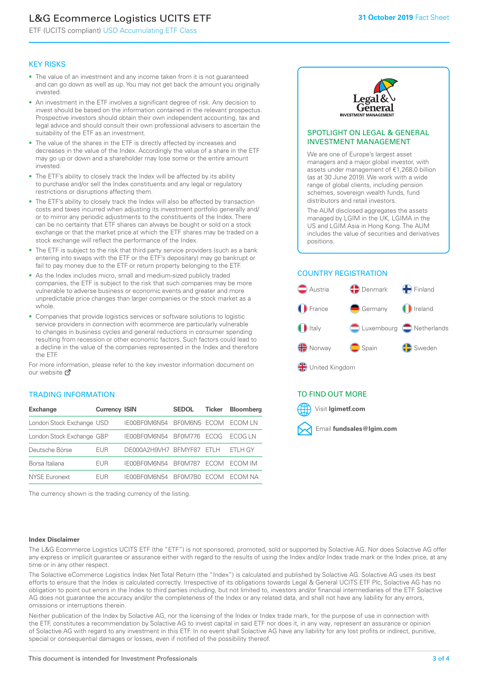# L&G Ecommerce Logistics UCITS ETF

ETF (UCITS compliant) USD Accumulating ETF Class

#### KEY RISKS

- The value of an investment and any income taken from it is not guaranteed and can go down as well as up. You may not get back the amount you originally invested.
- An investment in the ETF involves a significant degree of risk. Any decision to invest should be based on the information contained in the relevant prospectus. Prospective investors should obtain their own independent accounting, tax and legal advice and should consult their own professional advisers to ascertain the suitability of the ETF as an investment.
- The value of the shares in the ETF is directly affected by increases and decreases in the value of the Index. Accordingly the value of a share in the ETF may go up or down and a shareholder may lose some or the entire amount invested.
- The ETF's ability to closely track the Index will be affected by its ability to purchase and/or sell the Index constituents and any legal or regulatory restrictions or disruptions affecting them.
- The ETF's ability to closely track the Index will also be affected by transaction costs and taxes incurred when adjusting its investment portfolio generally and/ or to mirror any periodic adjustments to the constituents of the Index. There can be no certainty that ETF shares can always be bought or sold on a stock exchange or that the market price at which the ETF shares may be traded on a stock exchange will reflect the performance of the Index.
- The ETF is subject to the risk that third party service providers (such as a bank entering into swaps with the ETF or the ETF's depositary) may go bankrupt or fail to pay money due to the ETF or return property belonging to the ETF.
- As the Index includes micro, small and medium-sized publicly traded companies, the ETF is subject to the risk that such companies may be more vulnerable to adverse business or economic events and greater and more unpredictable price changes than larger companies or the stock market as a whole.
- Companies that provide logistics services or software solutions to logistic service providers in connection with ecommerce are particularly vulnerable to changes in business cycles and general reductions in consumer spending resulting from recession or other economic factors. Such factors could lead to a decline in the value of the companies represented in the Index and therefore the ETF.

For more information, please refer to the key investor information document on our website **Z** 

### TRADING INFORMATION

| <b>Exchange</b>           | <b>Currency ISIN</b> |                      | <b>SEDOL</b>   | <b>Ticker</b> | Bloomberg |
|---------------------------|----------------------|----------------------|----------------|---------------|-----------|
| London Stock Exchange USD |                      | IE00BF0M6N54         | BFOM6N5 ECOM   |               | ECOM IN   |
| London Stock Exchange GBP |                      | IE00BF0M6N54         | <b>BF0M776</b> | <b>FCOG</b>   | FCOG IN   |
| Deutsche Börse            | EUR                  | DE000A2H9VH7 BFMYF87 |                | FTI H         | ETLH GY   |
| Borsa Italiana            | EUR                  | IE00BF0M6N54         | <b>BF0M787</b> | <b>FCOM</b>   | ECOM IM   |
| NYSE Euronext             | <b>FUR</b>           | IF00BF0M6N54         | BF0M7B0        | <b>FCOM</b>   | FCOM NA   |

The currency shown is the trading currency of the listing.



#### SPOTLIGHT ON LEGAL & GENERAL INVESTMENT MANAGEMENT

We are one of Europe's largest asset managers and a major global investor, with assets under management of €1,268.0 billion (as at 30 June 2019). We work with a wide range of global clients, including pension schemes, sovereign wealth funds, fund distributors and retail investors.

The AUM disclosed aggregates the assets managed by LGIM in the UK, LGIMA in the US and LGIM Asia in Hong Kong. The AUM includes the value of securities and derivatives positions.

### COUNTRY REGISTRATION



#### TO FIND OUT MORE



#### **Index Disclaimer**

The L&G Ecommerce Logistics UCITS ETF (the "ETF") is not sponsored, promoted, sold or supported by Solactive AG. Nor does Solactive AG offer any express or implicit guarantee or assurance either with regard to the results of using the Index and/or Index trade mark or the Index price, at any time or in any other respect.

The Solactive eCommerce Logistics Index Net Total Return (the "Index") is calculated and published by Solactive AG. Solactive AG uses its best efforts to ensure that the Index is calculated correctly. Irrespective of its obligations towards Legal & General UCITS ETF Plc, Solactive AG has no obligation to point out errors in the Index to third parties including, but not limited to, investors and/or financial intermediaries of the ETF. Solactive AG does not guarantee the accuracy and/or the completeness of the Index or any related data, and shall not have any liability for any errors, omissions or interruptions therein.

Neither publication of the Index by Solactive AG, nor the licensing of the Index or Index trade mark, for the purpose of use in connection with the ETF, constitutes a recommendation by Solactive AG to invest capital in said ETF nor does it, in any way, represent an assurance or opinion of Solactive AG with regard to any investment in this ETF. In no event shall Solactive AG have any liability for any lost profits or indirect, punitive, special or consequential damages or losses, even if notified of the possibility thereof.